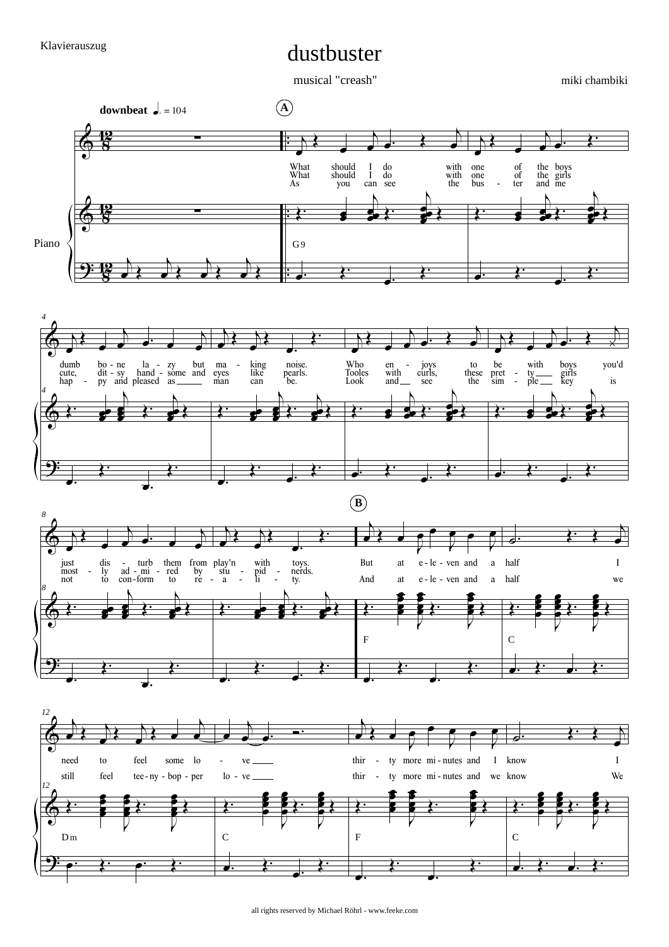## dustbuster

musical "creash"

miki chambiki



all rights reserved by Michael Röhrl - www.feeke.com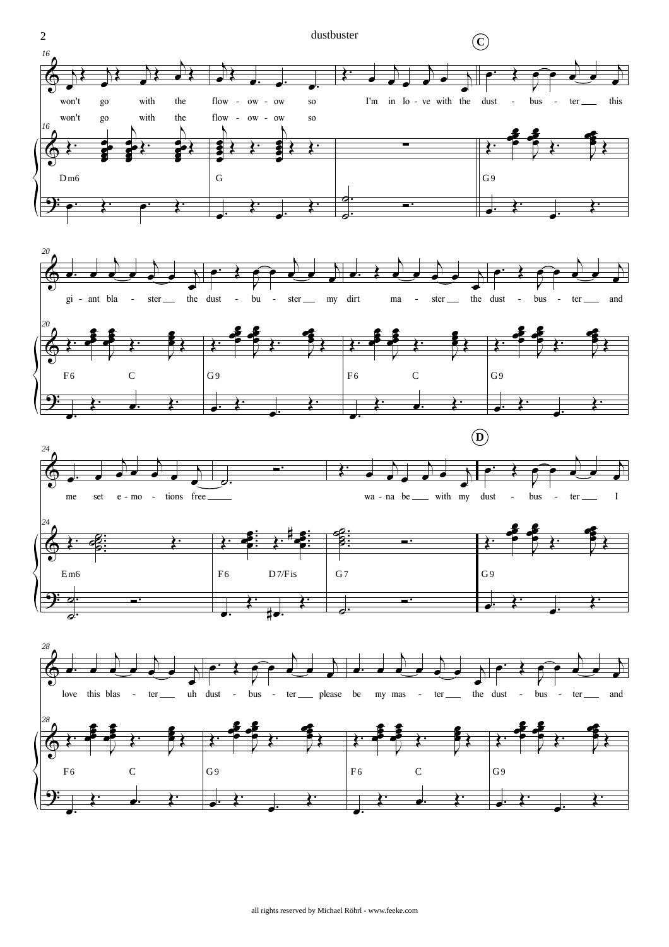